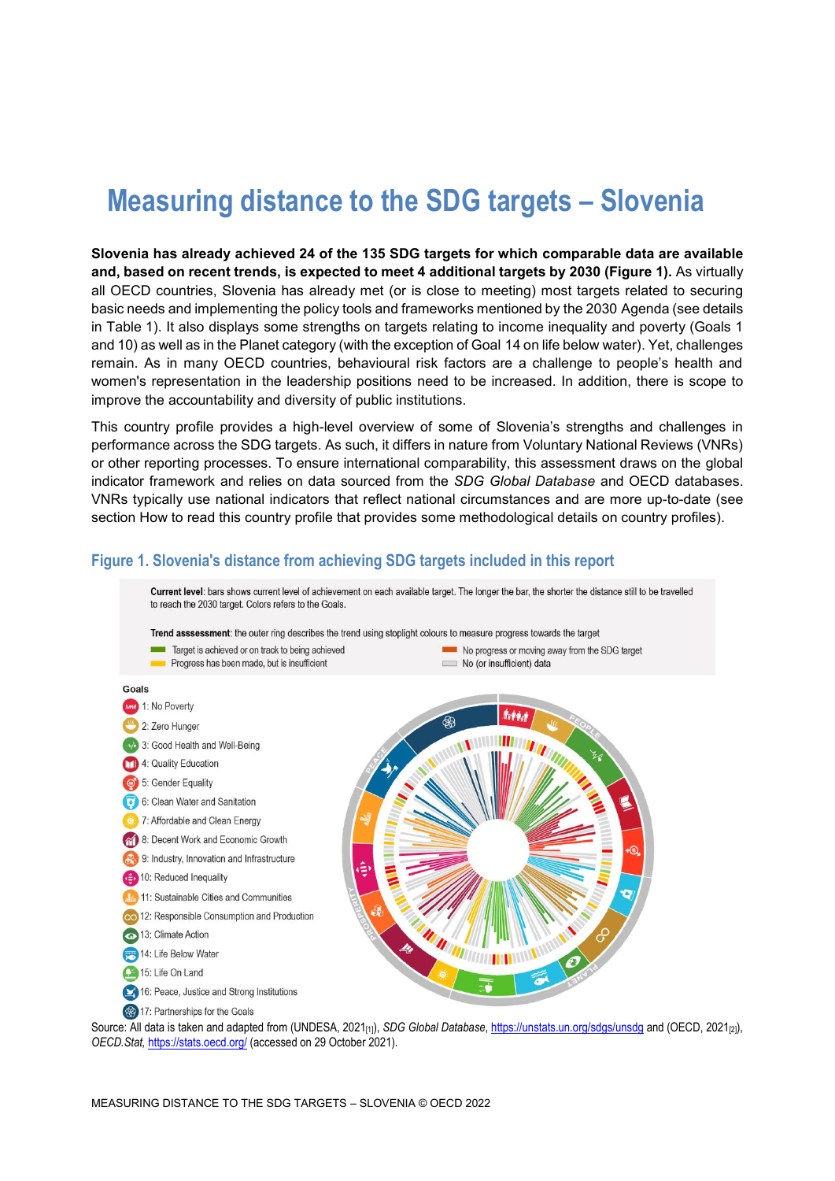# **Measuring distance to the SDG targets – Slovenia**

**Slovenia has already achieved 24 of the 135 SDG targets for which comparable data are available and, based on recent trends, is expected to meet 4 additional targets by 2030 [\(Figure](#page-0-0) 1).** As virtually all OECD countries, Slovenia has already met (or is close to meeting) most targets related to securing basic needs and implementing the policy tools and frameworks mentioned by the 2030 Agenda (see details in [Table](#page-3-0) 1). It also displays some strengths on targets relating to income inequality and poverty (Goals 1 and 10) as well as in the Planet category (with the exception of Goal 14 on life below water). Yet, challenges remain. As in many OECD countries, behavioural risk factors are a challenge to people's health and women's representation in the leadership positions need to be increased. In addition, there is scope to improve the accountability and diversity of public institutions.

This country profile provides a high-level overview of some of Slovenia's strengths and challenges in performance across the SDG targets. As such, it differs in nature from Voluntary National Reviews (VNRs) or other reporting processes. To ensure international comparability, this assessment draws on the global indicator framework and relies on data sourced from the *SDG Global Database* and OECD databases. VNRs typically use national indicators that reflect national circumstances and are more up-to-date (see section [How to read this](#page-7-0) country profile that provides some methodological details on country profiles).

### <span id="page-0-0"></span>**Figure 1. Slovenia's distance from achieving SDG targets included in this report**

Current level: bars shows current level of achievement on each available target. The longer the bar, the shorter the distance still to be travelled to reach the 2030 target. Colors refers to the Goals.





Source: All data is taken and adapted from (UNDESA, 2021<sub>[1]</sub>), *SDG Global Database*[, https://unstats.un.org/sdgs/unsdg](https://unstats.un.org/sdgs/unsdg) and (OECD, 2021<sub>[2]</sub>), *OECD.Stat,* <https://stats.oecd.org/> (accessed on 29 October 2021).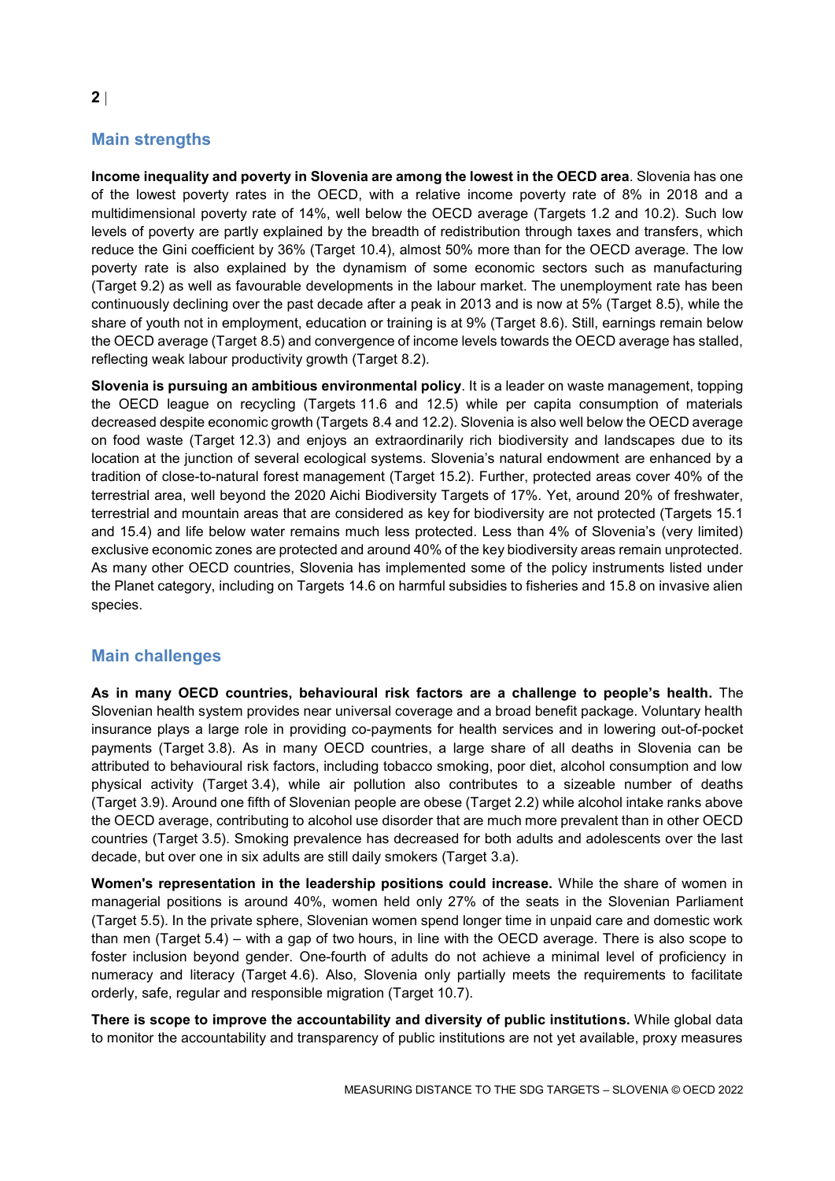### **Main strengths**

**Income inequality and poverty in Slovenia are among the lowest in the OECD area**. Slovenia has one of the lowest poverty rates in the OECD, with a relative income poverty rate of 8% in 2018 and a multidimensional poverty rate of 14%, well below the OECD average (Targets 1.2 and 10.2). Such low levels of poverty are partly explained by the breadth of redistribution through taxes and transfers, which reduce the Gini coefficient by 36% (Target 10.4), almost 50% more than for the OECD average. The low poverty rate is also explained by the dynamism of some economic sectors such as manufacturing (Target 9.2) as well as favourable developments in the labour market. The unemployment rate has been continuously declining over the past decade after a peak in 2013 and is now at 5% (Target 8.5), while the share of youth not in employment, education or training is at 9% (Target 8.6). Still, earnings remain below the OECD average (Target 8.5) and convergence of income levels towards the OECD average has stalled, reflecting weak labour productivity growth (Target 8.2).

**Slovenia is pursuing an ambitious environmental policy**. It is a leader on waste management, topping the OECD league on recycling (Targets 11.6 and 12.5) while per capita consumption of materials decreased despite economic growth (Targets 8.4 and 12.2). Slovenia is also well below the OECD average on food waste (Target 12.3) and enjoys an extraordinarily rich biodiversity and landscapes due to its location at the junction of several ecological systems. Slovenia's natural endowment are enhanced by a tradition of close-to-natural forest management (Target 15.2). Further, protected areas cover 40% of the terrestrial area, well beyond the 2020 Aichi Biodiversity Targets of 17%. Yet, around 20% of freshwater, terrestrial and mountain areas that are considered as key for biodiversity are not protected (Targets 15.1 and 15.4) and life below water remains much less protected. Less than 4% of Slovenia's (very limited) exclusive economic zones are protected and around 40% of the key biodiversity areas remain unprotected. As many other OECD countries, Slovenia has implemented some of the policy instruments listed under the Planet category, including on Targets 14.6 on harmful subsidies to fisheries and 15.8 on invasive alien species.

### **Main challenges**

**As in many OECD countries, behavioural risk factors are a challenge to people's health.** The Slovenian health system provides near universal coverage and a broad benefit package. Voluntary health insurance plays a large role in providing co-payments for health services and in lowering out-of-pocket payments (Target 3.8). As in many OECD countries, a large share of all deaths in Slovenia can be attributed to behavioural risk factors, including tobacco smoking, poor diet, alcohol consumption and low physical activity (Target 3.4), while air pollution also contributes to a sizeable number of deaths (Target 3.9). Around one fifth of Slovenian people are obese (Target 2.2) while alcohol intake ranks above the OECD average, contributing to alcohol use disorder that are much more prevalent than in other OECD countries (Target 3.5). Smoking prevalence has decreased for both adults and adolescents over the last decade, but over one in six adults are still daily smokers (Target 3.a).

**Women's representation in the leadership positions could increase.** While the share of women in managerial positions is around 40%, women held only 27% of the seats in the Slovenian Parliament (Target 5.5). In the private sphere, Slovenian women spend longer time in unpaid care and domestic work than men (Target 5.4) – with a gap of two hours, in line with the OECD average. There is also scope to foster inclusion beyond gender. One-fourth of adults do not achieve a minimal level of proficiency in numeracy and literacy (Target 4.6). Also, Slovenia only partially meets the requirements to facilitate orderly, safe, regular and responsible migration (Target 10.7).

**There is scope to improve the accountability and diversity of public institutions.** While global data to monitor the accountability and transparency of public institutions are not yet available, proxy measures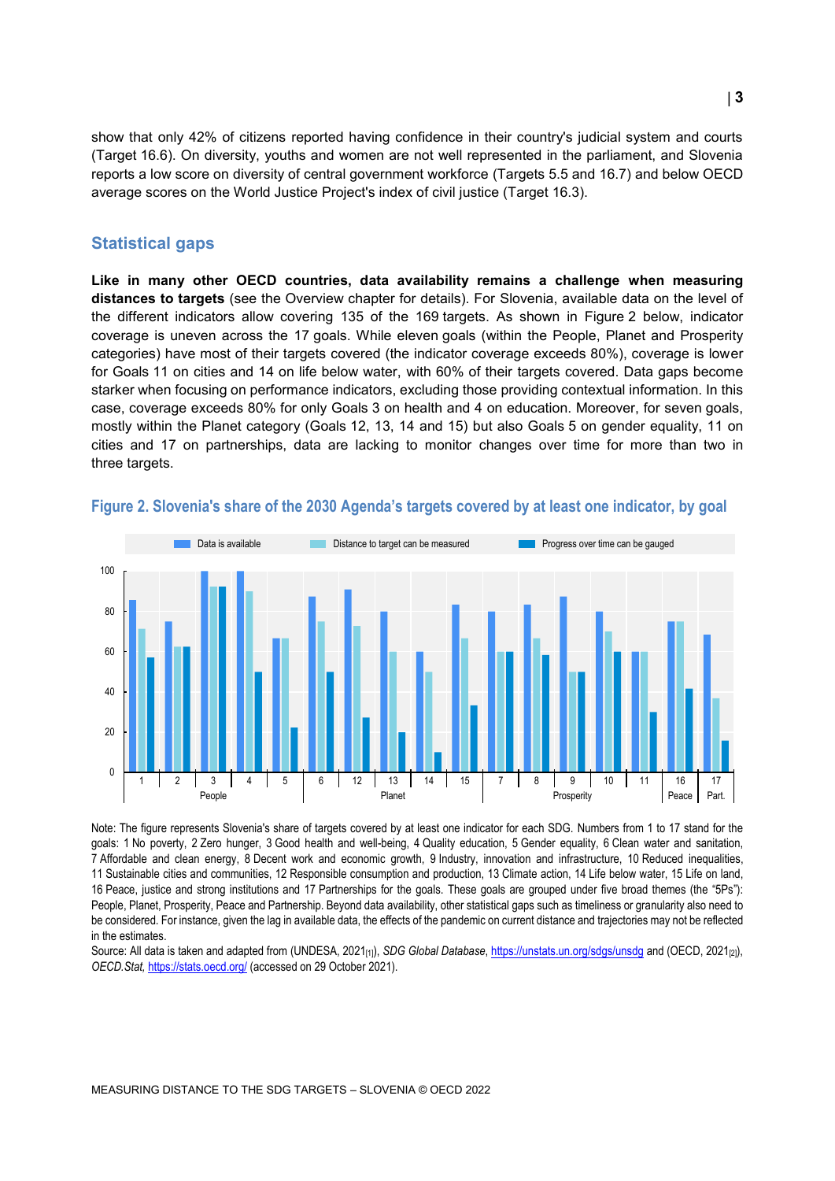show that only 42% of citizens reported having confidence in their country's judicial system and courts (Target 16.6). On diversity, youths and women are not well represented in the parliament, and Slovenia reports a low score on diversity of central government workforce (Targets 5.5 and 16.7) and below OECD average scores on the World Justice Project's index of civil justice (Target 16.3).

### **Statistical gaps**

**Like in many other OECD countries, data availability remains a challenge when measuring distances to targets** (see the Overview chapter for details). For Slovenia, available data on the level of the different indicators allow covering 135 of the 169 targets. As shown in [Figure](#page-2-0) 2 below, indicator coverage is uneven across the 17 goals. While eleven goals (within the People, Planet and Prosperity categories) have most of their targets covered (the indicator coverage exceeds 80%), coverage is lower for Goals 11 on cities and 14 on life below water, with 60% of their targets covered. Data gaps become starker when focusing on performance indicators, excluding those providing contextual information. In this case, coverage exceeds 80% for only Goals 3 on health and 4 on education. Moreover, for seven goals, mostly within the Planet category (Goals 12, 13, 14 and 15) but also Goals 5 on gender equality, 11 on cities and 17 on partnerships, data are lacking to monitor changes over time for more than two in three targets.



#### <span id="page-2-0"></span>**Figure 2. Slovenia's share of the 2030 Agenda's targets covered by at least one indicator, by goal**

Note: The figure represents Slovenia's share of targets covered by at least one indicator for each SDG. Numbers from 1 to 17 stand for the goals: 1 No poverty, 2 Zero hunger, 3 Good health and well-being, 4 Quality education, 5 Gender equality, 6 Clean water and sanitation, 7 Affordable and clean energy, 8 Decent work and economic growth, 9 Industry, innovation and infrastructure, 10 Reduced inequalities, 11 Sustainable cities and communities, 12 Responsible consumption and production, 13 Climate action, 14 Life below water, 15 Life on land, 16 Peace, justice and strong institutions and 17 Partnerships for the goals. These goals are grouped under five broad themes (the "5Ps"): People, Planet, Prosperity, Peace and Partnership. Beyond data availability, other statistical gaps such as timeliness or granularity also need to be considered. For instance, given the lag in available data, the effects of the pandemic on current distance and trajectories may not be reflected in the estimates.

Source: All data is taken and adapted from (UNDESA, 2021[1]), *SDG Global Database*[, https://unstats.un.org/sdgs/unsdg](https://unstats.un.org/sdgs/unsdg) and (OECD, 2021[2]), *OECD.Stat,* <https://stats.oecd.org/> (accessed on 29 October 2021).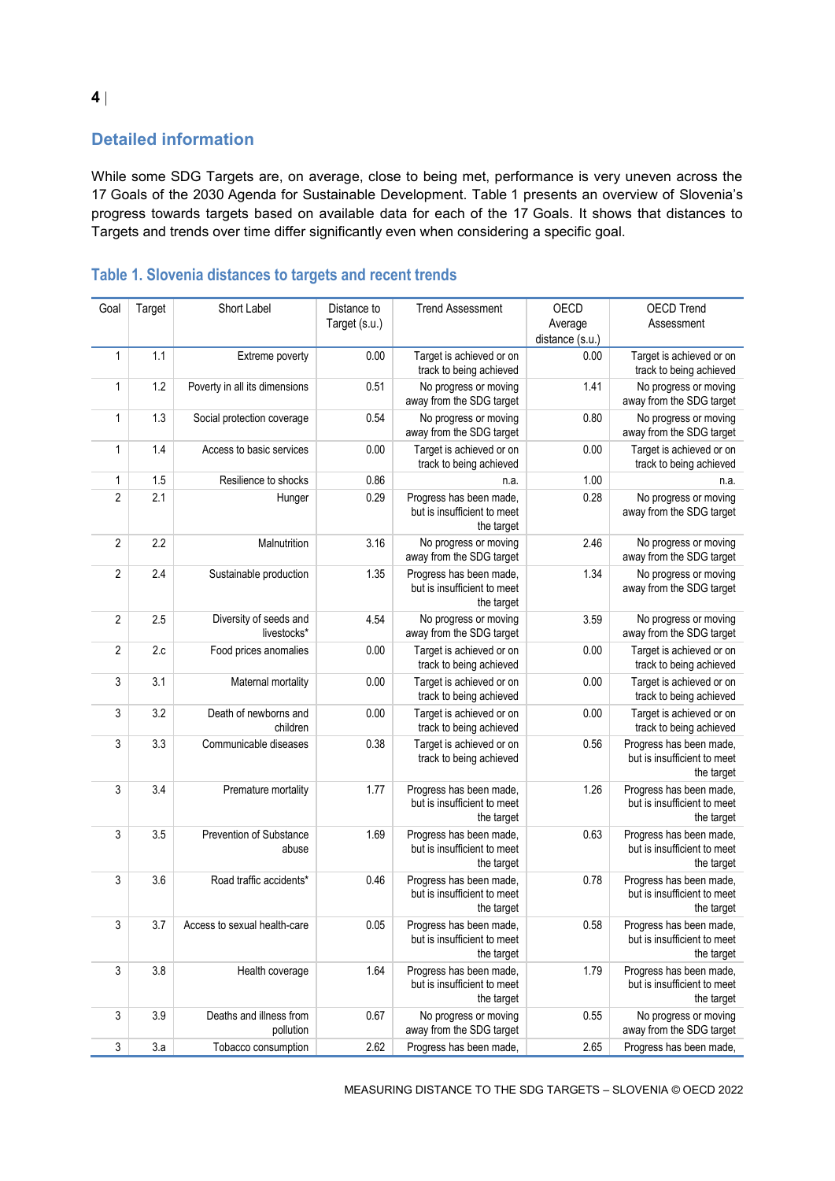### **Detailed information**

While some SDG Targets are, on average, close to being met, performance is very uneven across the 17 Goals of the 2030 Agenda for Sustainable Development. [Table](#page-3-0) 1 presents an overview of Slovenia's progress towards targets based on available data for each of the 17 Goals. It shows that distances to Targets and trends over time differ significantly even when considering a specific goal.

| Goal           | Target  | Short Label                           | Distance to<br>Target (s.u.) | <b>Trend Assessment</b>                                              | OECD<br>Average<br>distance (s.u.) | <b>OECD Trend</b><br>Assessment                                      |
|----------------|---------|---------------------------------------|------------------------------|----------------------------------------------------------------------|------------------------------------|----------------------------------------------------------------------|
| $\mathbf{1}$   | 1.1     | Extreme poverty                       | 0.00                         | Target is achieved or on<br>track to being achieved                  | 0.00                               | Target is achieved or on<br>track to being achieved                  |
| $\mathbf{1}$   | 1.2     | Poverty in all its dimensions         | 0.51                         | No progress or moving<br>away from the SDG target                    | 1.41                               | No progress or moving<br>away from the SDG target                    |
| $\mathbf{1}$   | 1.3     | Social protection coverage            | 0.54                         | No progress or moving<br>away from the SDG target                    | 0.80                               | No progress or moving<br>away from the SDG target                    |
| $\mathbf{1}$   | 1.4     | Access to basic services              | 0.00                         | Target is achieved or on<br>track to being achieved                  | 0.00                               | Target is achieved or on<br>track to being achieved                  |
| 1              | 1.5     | Resilience to shocks                  | 0.86                         | n.a.                                                                 | 1.00                               | n.a.                                                                 |
| $\sqrt{2}$     | 2.1     | Hunger                                | 0.29                         | Progress has been made,<br>but is insufficient to meet<br>the target | 0.28                               | No progress or moving<br>away from the SDG target                    |
| $\overline{2}$ | 2.2     | Malnutrition                          | 3.16                         | No progress or moving<br>away from the SDG target                    | 2.46                               | No progress or moving<br>away from the SDG target                    |
| $\overline{2}$ | 2.4     | Sustainable production                | 1.35                         | Progress has been made,<br>but is insufficient to meet<br>the target | 1.34                               | No progress or moving<br>away from the SDG target                    |
| $\overline{2}$ | 2.5     | Diversity of seeds and<br>livestocks* | 4.54                         | No progress or moving<br>away from the SDG target                    | 3.59                               | No progress or moving<br>away from the SDG target                    |
| $\overline{2}$ | 2.c     | Food prices anomalies                 | 0.00                         | Target is achieved or on<br>track to being achieved                  | 0.00                               | Target is achieved or on<br>track to being achieved                  |
| 3              | 3.1     | Maternal mortality                    | 0.00                         | Target is achieved or on<br>track to being achieved                  | 0.00                               | Target is achieved or on<br>track to being achieved                  |
| 3              | 3.2     | Death of newborns and<br>children     | 0.00                         | Target is achieved or on<br>track to being achieved                  | 0.00                               | Target is achieved or on<br>track to being achieved                  |
| 3              | 3.3     | Communicable diseases                 | 0.38                         | Target is achieved or on<br>track to being achieved                  | 0.56                               | Progress has been made,<br>but is insufficient to meet<br>the target |
| 3              | 3.4     | Premature mortality                   | 1.77                         | Progress has been made,<br>but is insufficient to meet<br>the target | 1.26                               | Progress has been made,<br>but is insufficient to meet<br>the target |
| 3              | 3.5     | Prevention of Substance<br>abuse      | 1.69                         | Progress has been made,<br>but is insufficient to meet<br>the target | 0.63                               | Progress has been made,<br>but is insufficient to meet<br>the target |
| 3              | 3.6     | Road traffic accidents*               | 0.46                         | Progress has been made,<br>but is insufficient to meet<br>the target | 0.78                               | Progress has been made,<br>but is insufficient to meet<br>the target |
| 3              | $3.7\,$ | Access to sexual health-care          | 0.05                         | Progress has been made,<br>but is insufficient to meet<br>the target | 0.58                               | Progress has been made,<br>but is insufficient to meet<br>the target |
| $\sqrt{3}$     | 3.8     | Health coverage                       | 1.64                         | Progress has been made,<br>but is insufficient to meet<br>the target | 1.79                               | Progress has been made,<br>but is insufficient to meet<br>the target |
| 3              | 3.9     | Deaths and illness from<br>pollution  | 0.67                         | No progress or moving<br>away from the SDG target                    | 0.55                               | No progress or moving<br>away from the SDG target                    |
| $\sqrt{3}$     | 3.a     | Tobacco consumption                   | 2.62                         | Progress has been made,                                              | 2.65                               | Progress has been made,                                              |

## <span id="page-3-0"></span>**Table 1. Slovenia distances to targets and recent trends**

MEASURING DISTANCE TO THE SDG TARGETS – SLOVENIA © OECD 2022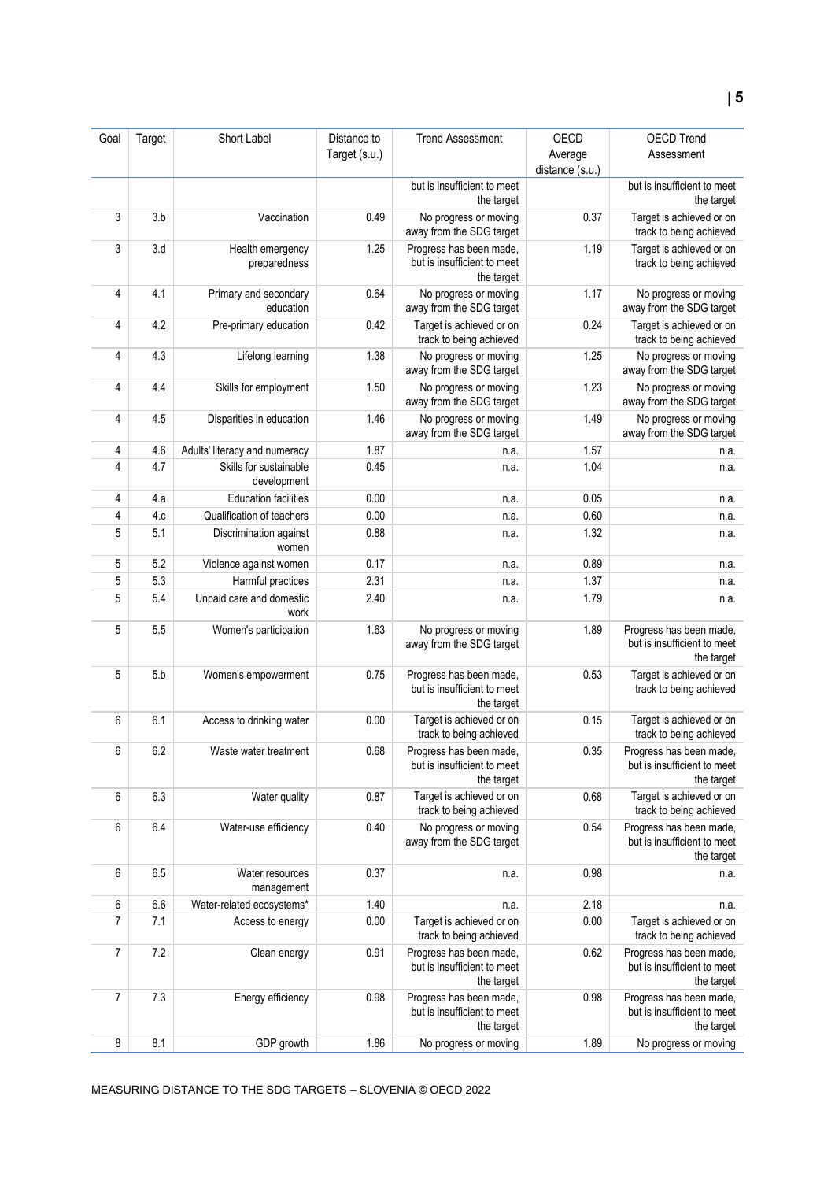| Goal           | Target | Short Label                           | Distance to<br>Target (s.u.) | <b>Trend Assessment</b>                                              | <b>OECD</b><br>Average<br>distance (s.u.) | <b>OECD Trend</b><br>Assessment                                      |
|----------------|--------|---------------------------------------|------------------------------|----------------------------------------------------------------------|-------------------------------------------|----------------------------------------------------------------------|
|                |        |                                       |                              | but is insufficient to meet<br>the target                            |                                           | but is insufficient to meet<br>the target                            |
| 3              | 3.b    | Vaccination                           | 0.49                         | No progress or moving<br>away from the SDG target                    | 0.37                                      | Target is achieved or on<br>track to being achieved                  |
| 3              | 3.d    | Health emergency<br>preparedness      | 1.25                         | Progress has been made,<br>but is insufficient to meet<br>the target | 1.19                                      | Target is achieved or on<br>track to being achieved                  |
| $\overline{4}$ | 4.1    | Primary and secondary<br>education    | 0.64                         | No progress or moving<br>away from the SDG target                    | 1.17                                      | No progress or moving<br>away from the SDG target                    |
| 4              | 4.2    | Pre-primary education                 | 0.42                         | Target is achieved or on<br>track to being achieved                  | 0.24                                      | Target is achieved or on<br>track to being achieved                  |
| 4              | 4.3    | Lifelong learning                     | 1.38                         | No progress or moving<br>away from the SDG target                    | 1.25                                      | No progress or moving<br>away from the SDG target                    |
| 4              | 4.4    | Skills for employment                 | 1.50                         | No progress or moving<br>away from the SDG target                    | 1.23                                      | No progress or moving<br>away from the SDG target                    |
| 4              | 4.5    | Disparities in education              | 1.46                         | No progress or moving<br>away from the SDG target                    | 1.49                                      | No progress or moving<br>away from the SDG target                    |
| 4              | 4.6    | Adults' literacy and numeracy         | 1.87                         | n.a.                                                                 | 1.57                                      | n.a.                                                                 |
| 4              | 4.7    | Skills for sustainable<br>development | 0.45                         | n.a.                                                                 | 1.04                                      | n.a.                                                                 |
| 4              | 4.a    | <b>Education facilities</b>           | 0.00                         | n.a.                                                                 | 0.05                                      | n.a.                                                                 |
| 4              | 4.c    | Qualification of teachers             | 0.00                         | n.a.                                                                 | 0.60                                      | n.a.                                                                 |
| 5              | 5.1    | Discrimination against<br>women       | 0.88                         | n.a.                                                                 | 1.32                                      | n.a.                                                                 |
| 5              | 5.2    | Violence against women                | 0.17                         | n.a.                                                                 | 0.89                                      | n.a.                                                                 |
| 5              | 5.3    | Harmful practices                     | 2.31                         | n.a.                                                                 | 1.37                                      | n.a.                                                                 |
| 5              | 5.4    | Unpaid care and domestic<br>work      | 2.40                         | n.a.                                                                 | 1.79                                      | n.a.                                                                 |
| 5              | 5.5    | Women's participation                 | 1.63                         | No progress or moving<br>away from the SDG target                    | 1.89                                      | Progress has been made,<br>but is insufficient to meet<br>the target |
| 5              | 5.b    | Women's empowerment                   | 0.75                         | Progress has been made,<br>but is insufficient to meet<br>the target | 0.53                                      | Target is achieved or on<br>track to being achieved                  |
| 6              | 6.1    | Access to drinking water              | 0.00                         | Target is achieved or on<br>track to being achieved                  | 0.15                                      | Target is achieved or on<br>track to being achieved                  |
| 6              | 6.2    | Waste water treatment                 | 0.68                         | Progress has been made,<br>but is insufficient to meet<br>the target | 0.35                                      | Progress has been made,<br>but is insufficient to meet<br>the target |
| 6              | 6.3    | Water quality                         | 0.87                         | Target is achieved or on<br>track to being achieved                  | 0.68                                      | Target is achieved or on<br>track to being achieved                  |
| 6              | 6.4    | Water-use efficiency                  | 0.40                         | No progress or moving<br>away from the SDG target                    | 0.54                                      | Progress has been made,<br>but is insufficient to meet<br>the target |
| 6              | 6.5    | Water resources<br>management         | 0.37                         | n.a.                                                                 | 0.98                                      | n.a.                                                                 |
| 6              | 6.6    | Water-related ecosystems*             | 1.40                         | n.a.                                                                 | 2.18                                      | n.a.                                                                 |
| $\overline{7}$ | 7.1    | Access to energy                      | 0.00                         | Target is achieved or on<br>track to being achieved                  | 0.00                                      | Target is achieved or on<br>track to being achieved                  |
| $\overline{7}$ | 7.2    | Clean energy                          | 0.91                         | Progress has been made,<br>but is insufficient to meet<br>the target | 0.62                                      | Progress has been made,<br>but is insufficient to meet<br>the target |
| 7              | 7.3    | Energy efficiency                     | 0.98                         | Progress has been made,<br>but is insufficient to meet<br>the target | 0.98                                      | Progress has been made,<br>but is insufficient to meet<br>the target |
| $\bf 8$        | 8.1    | GDP growth                            | 1.86                         | No progress or moving                                                | 1.89                                      | No progress or moving                                                |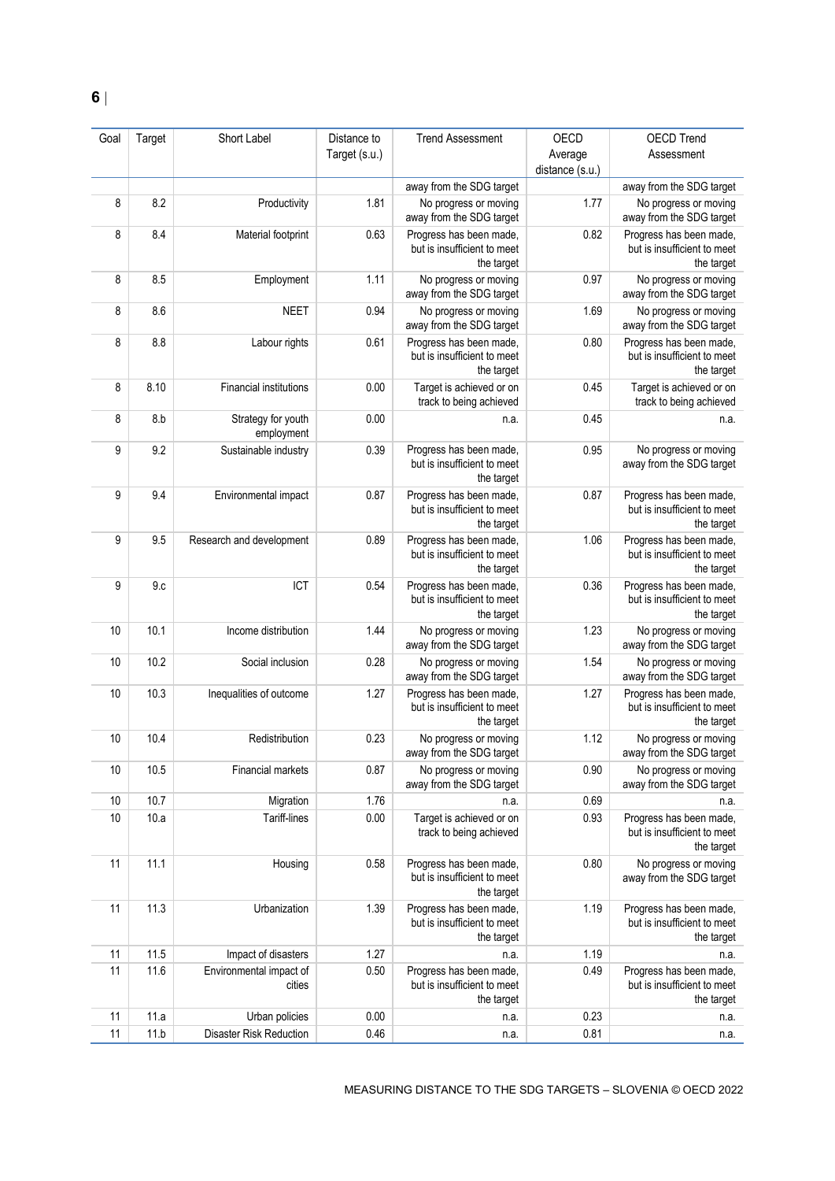| Goal | Target | Short Label                       | Distance to   | <b>Trend Assessment</b>                                              | OECD            | <b>OECD Trend</b>                                                    |
|------|--------|-----------------------------------|---------------|----------------------------------------------------------------------|-----------------|----------------------------------------------------------------------|
|      |        |                                   | Target (s.u.) |                                                                      | Average         | Assessment                                                           |
|      |        |                                   |               |                                                                      | distance (s.u.) |                                                                      |
| 8    | 8.2    |                                   | 1.81          | away from the SDG target<br>No progress or moving                    | 1.77            | away from the SDG target<br>No progress or moving                    |
|      |        | Productivity                      |               | away from the SDG target                                             |                 | away from the SDG target                                             |
| 8    | 8.4    | Material footprint                | 0.63          | Progress has been made,<br>but is insufficient to meet<br>the target | 0.82            | Progress has been made,<br>but is insufficient to meet<br>the target |
| 8    | 8.5    | Employment                        | 1.11          | No progress or moving<br>away from the SDG target                    | 0.97            | No progress or moving<br>away from the SDG target                    |
| 8    | 8.6    | <b>NEET</b>                       | 0.94          | No progress or moving<br>away from the SDG target                    | 1.69            | No progress or moving<br>away from the SDG target                    |
| 8    | 8.8    | Labour rights                     | 0.61          | Progress has been made,<br>but is insufficient to meet<br>the target | 0.80            | Progress has been made,<br>but is insufficient to meet<br>the target |
| 8    | 8.10   | <b>Financial institutions</b>     | 0.00          | Target is achieved or on<br>track to being achieved                  | 0.45            | Target is achieved or on<br>track to being achieved                  |
| 8    | 8.b    | Strategy for youth<br>employment  | 0.00          | n.a.                                                                 | 0.45            | n.a.                                                                 |
| 9    | 9.2    | Sustainable industry              | 0.39          | Progress has been made,<br>but is insufficient to meet<br>the target | 0.95            | No progress or moving<br>away from the SDG target                    |
| 9    | 9.4    | Environmental impact              | 0.87          | Progress has been made,<br>but is insufficient to meet<br>the target | 0.87            | Progress has been made,<br>but is insufficient to meet<br>the target |
| 9    | 9.5    | Research and development          | 0.89          | Progress has been made,<br>but is insufficient to meet<br>the target | 1.06            | Progress has been made,<br>but is insufficient to meet<br>the target |
| 9    | 9c     | ICT                               | 0.54          | Progress has been made,<br>but is insufficient to meet<br>the target | 0.36            | Progress has been made,<br>but is insufficient to meet<br>the target |
| 10   | 10.1   | Income distribution               | 1.44          | No progress or moving<br>away from the SDG target                    | 1.23            | No progress or moving<br>away from the SDG target                    |
| 10   | 10.2   | Social inclusion                  | 0.28          | No progress or moving<br>away from the SDG target                    | 1.54            | No progress or moving<br>away from the SDG target                    |
| 10   | 10.3   | Inequalities of outcome           | 1.27          | Progress has been made,<br>but is insufficient to meet<br>the target | 1.27            | Progress has been made,<br>but is insufficient to meet<br>the target |
| 10   | 10.4   | Redistribution                    | 0.23          | No progress or moving<br>away from the SDG target                    | 1.12            | No progress or moving<br>away from the SDG target                    |
| 10   | 10.5   | Financial markets                 | 0.87          | No progress or moving<br>away from the SDG target                    | 0.90            | No progress or moving<br>away from the SDG target                    |
| 10   | 10.7   | Migration                         | 1.76          | n.a.                                                                 | 0.69            | n.a.                                                                 |
| 10   | 10.a   | Tariff-lines                      | 0.00          | Target is achieved or on<br>track to being achieved                  | 0.93            | Progress has been made,<br>but is insufficient to meet<br>the target |
| 11   | 11.1   | Housing                           | 0.58          | Progress has been made,<br>but is insufficient to meet<br>the target | 0.80            | No progress or moving<br>away from the SDG target                    |
| 11   | 11.3   | Urbanization                      | 1.39          | Progress has been made,<br>but is insufficient to meet<br>the target | 1.19            | Progress has been made,<br>but is insufficient to meet<br>the target |
| 11   | 11.5   | Impact of disasters               | 1.27          | n.a.                                                                 | 1.19            | n.a.                                                                 |
| 11   | 11.6   | Environmental impact of<br>cities | 0.50          | Progress has been made,<br>but is insufficient to meet<br>the target | 0.49            | Progress has been made,<br>but is insufficient to meet<br>the target |
| 11   | 11.a   | Urban policies                    | 0.00          | n.a.                                                                 | 0.23            | n.a.                                                                 |
| 11   | 11.b   | Disaster Risk Reduction           | 0.46          | n.a.                                                                 | 0.81            | n.a.                                                                 |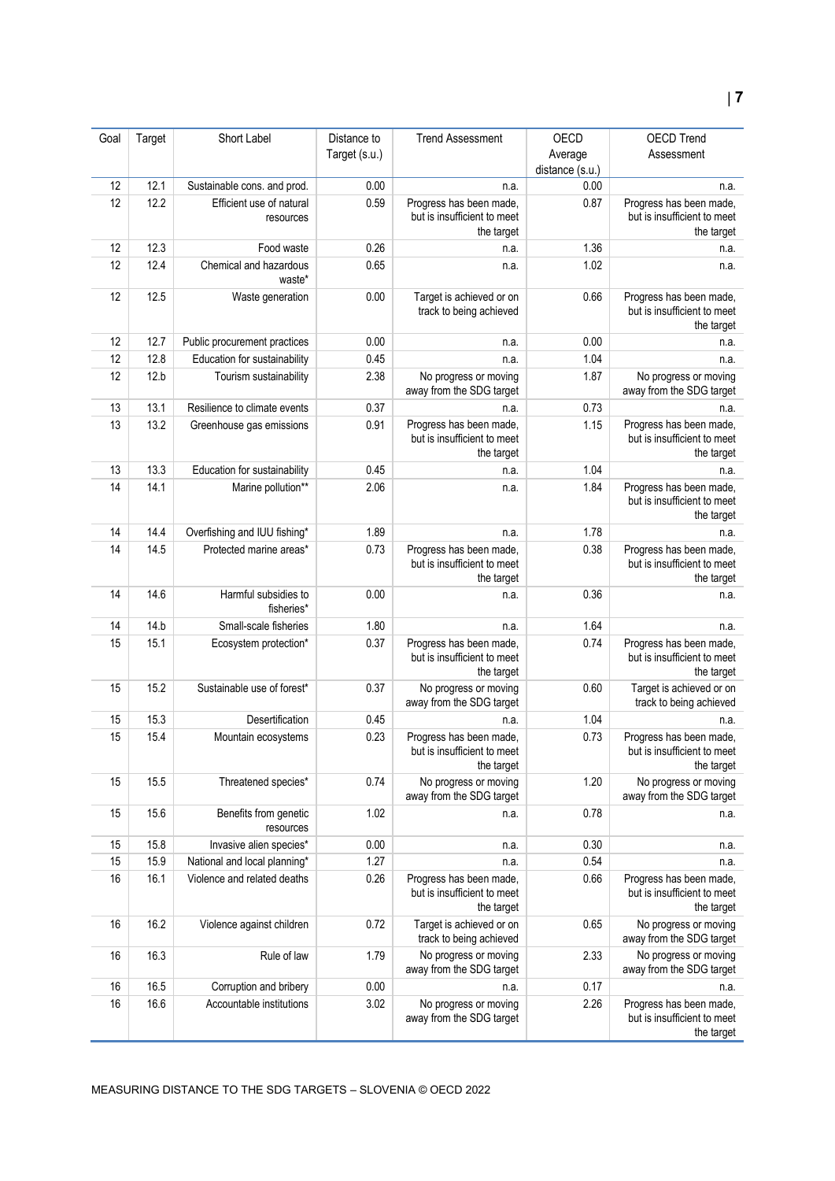#### Goal Target Short Label Distance to Target (s.u.) Trend Assessment OECD Average distance (s.u.) OECD Trend Assessment 12 12.1 Sustainable cons. and prod. 0.00 n.a. n.a. 0.00 n.a. 12 12.2 Efficient use of natural resources 0.59 Progress has been made but is insufficient to meet the target 0.87 Progress has been made, but is insufficient to meet the target 12 12.3 Food waste 0.26 n.a. n.a. 1.36 n.a. 1.36 n.a. 12 12.4 Chemical and hazardous waste\* 0.65 n.a. 1.02 n.a. 12 12.5 Waste generation 0.00 Target is achieved or on track to being achieved 0.66 Progress has been made, but is insufficient to meet the target 12 12.7 Public procurement practices 0.00 n.a. 0.00 n.a. 12 12.8 Education for sustainability 0.45 n.a. 1.04 1.04 n.a. 12 12.b Tourism sustainability 2.38 No progress or moving away from the SDG target 1.87 No progress or moving away from the SDG target 13 13.1 Resilience to climate events 0.37 n.a. n.a. 0.73 n.a. 13 13.2 Greenhouse gas emissions 0.91 Progress has been made but is insufficient to meet the target 1.15 Progress has been made. but is insufficient to meet the target 13 13.3 Education for sustainability 0.45 n.a. 1.04 n.a. 14 14.1 Marine pollution\* 2.06 n.a. 1.84 Progress has been made but is insufficient to meet the target 14 14.4 Overfishing and IUU fishing\* 1.89 n.a. 1.78 n.a. 14 14.5 Protected marine areas<sup>\*</sup> **0.73** Progress has been made but is insufficient to meet the target 0.38 Progress has been made, but is insufficient to meet the target 14 14.6 Harmful subsidies to fisheries<sup>\*</sup> 0.00 n.a. 0.36 n.a. 14 14.b Small-scale fisheries 1.80 n.a. 1.64 n.a. 15 15.1 Ecosystem protection\* 0.37 Progress has been made, but is insufficient to meet the target 0.74 Progress has been made, but is insufficient to meet the target 15 15.2 Sustainable use of forest<sup>\*</sup> 0.37 No progress or moving away from the SDG target 0.60 Target is achieved or on track to being achieved 15.3 Desertification 0.45 n.a. 1.04 n.a. 1.04 n.a. 15 15.4 Mountain ecosystems 0.23 Progress has been made, but is insufficient to meet the target 0.73 Progress has been made, but is insufficient to meet the target 15 15.5 Threatened species<sup>\*</sup> 0.74 No progress or moving away from the SDG target 1.20 No progress or moving away from the SDG target 15 15.6 Benefits from genetic resources 1.02 n.a. 0.78 n.a. 15 15.8 Invasive alien species\* 0.00 n.a. 0.30 n.a. 0.30 n.a. 15 15.9 National and local planning\* 1.27 n.a. 0.54 n.a. 16 16.1 Violence and related deaths 0.26 Progress has been made, but is insufficient to meet the target 0.66 Progress has been made, but is insufficient to meet the target 16 16.2 Violence against children 0.72 Target is achieved or on track to being achieved 0.65 No progress or moving away from the SDG target 16 16.3 Rule of law 1.79 No progress or moving away from the SDG target 2.33 No progress or moving away from the SDG target 16 16.5 Corruption and bribery 0.00 n.a. 0.17 n.a. 16 16.6 Accountable institutions 3.02 No progress or moving away from the SDG target 2.26 Progress has been made, but is insufficient to meet

the target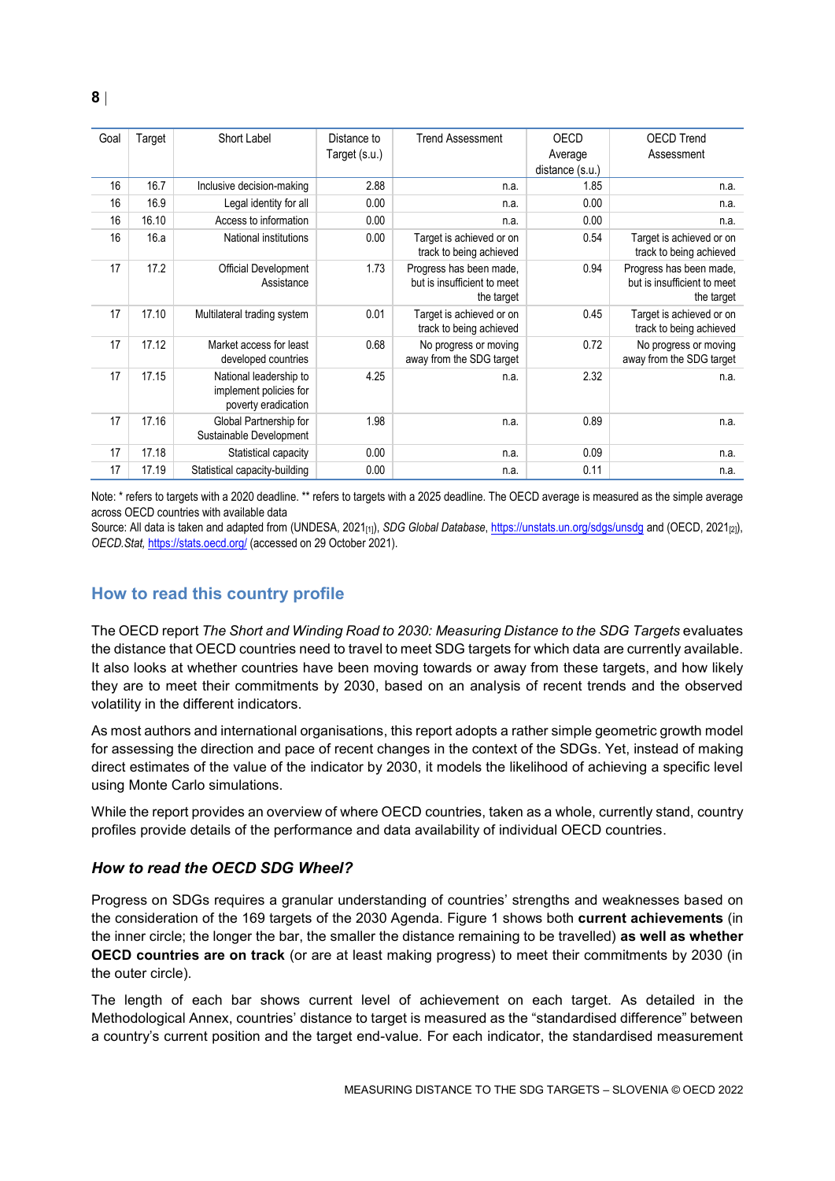| Goal | Target | Short Label                                                             | Distance to<br>Target (s.u.) | <b>Trend Assessment</b>                                              | <b>OECD</b><br>Average<br>distance (s.u.) | <b>OECD Trend</b><br>Assessment                                      |
|------|--------|-------------------------------------------------------------------------|------------------------------|----------------------------------------------------------------------|-------------------------------------------|----------------------------------------------------------------------|
| 16   | 16.7   | Inclusive decision-making                                               | 2.88                         | n.a.                                                                 | 1.85                                      | n.a.                                                                 |
| 16   | 16.9   | Legal identity for all                                                  | 0.00                         | n.a.                                                                 | 0.00                                      | n.a.                                                                 |
| 16   | 16.10  | Access to information                                                   | 0.00                         | n.a.                                                                 | 0.00                                      | n.a.                                                                 |
| 16   | 16.a   | National institutions                                                   | 0.00                         | Target is achieved or on<br>track to being achieved                  | 0.54                                      | Target is achieved or on<br>track to being achieved                  |
| 17   | 17.2   | Official Development<br>Assistance                                      | 1.73                         | Progress has been made,<br>but is insufficient to meet<br>the target | 0.94                                      | Progress has been made,<br>but is insufficient to meet<br>the target |
| 17   | 17.10  | Multilateral trading system                                             | 0.01                         | Target is achieved or on<br>track to being achieved                  | 0.45                                      | Target is achieved or on<br>track to being achieved                  |
| 17   | 17.12  | Market access for least<br>developed countries                          | 0.68                         | No progress or moving<br>away from the SDG target                    | 0.72                                      | No progress or moving<br>away from the SDG target                    |
| 17   | 17.15  | National leadership to<br>implement policies for<br>poverty eradication | 4.25                         | n.a.                                                                 | 2.32                                      | n.a.                                                                 |
| 17   | 17.16  | Global Partnership for<br>Sustainable Development                       | 1.98                         | n.a.                                                                 | 0.89                                      | n.a.                                                                 |
| 17   | 17.18  | Statistical capacity                                                    | 0.00                         | n.a.                                                                 | 0.09                                      | n.a.                                                                 |
| 17   | 17.19  | Statistical capacity-building                                           | 0.00                         | n.a.                                                                 | 0.11                                      | n.a.                                                                 |

Note: \* refers to targets with a 2020 deadline. \*\* refers to targets with a 2025 deadline. The OECD average is measured as the simple average across OECD countries with available data

Source: All data is taken and adapted from (UNDESA, 2021<sub>[1]</sub>), *SDG Global Database*[, https://unstats.un.org/sdgs/unsdg](https://unstats.un.org/sdgs/unsdg) and (OECD, 2021<sub>[2]</sub>), *OECD.Stat,* <https://stats.oecd.org/> (accessed on 29 October 2021).

### <span id="page-7-0"></span>**How to read this country profile**

The OECD report *The Short and Winding Road to 2030: Measuring Distance to the SDG Targets* evaluates the distance that OECD countries need to travel to meet SDG targets for which data are currently available. It also looks at whether countries have been moving towards or away from these targets, and how likely they are to meet their commitments by 2030, based on an analysis of recent trends and the observed volatility in the different indicators.

As most authors and international organisations, this report adopts a rather simple geometric growth model for assessing the direction and pace of recent changes in the context of the SDGs. Yet, instead of making direct estimates of the value of the indicator by 2030, it models the likelihood of achieving a specific level using Monte Carlo simulations.

While the report provides an overview of where OECD countries, taken as a whole, currently stand, country profiles provide details of the performance and data availability of individual OECD countries.

### *How to read the OECD SDG Wheel?*

Progress on SDGs requires a granular understanding of countries' strengths and weaknesses based on the consideration of the 169 targets of the 2030 Agenda. [Figure](#page-0-0) 1 shows both **current achievements** (in the inner circle; the longer the bar, the smaller the distance remaining to be travelled) **as well as whether OECD countries are on track** (or are at least making progress) to meet their commitments by 2030 (in the outer circle).

The length of each bar shows current level of achievement on each target. As detailed in the Methodological Annex, countries' distance to target is measured as the "standardised difference" between a country's current position and the target end-value. For each indicator, the standardised measurement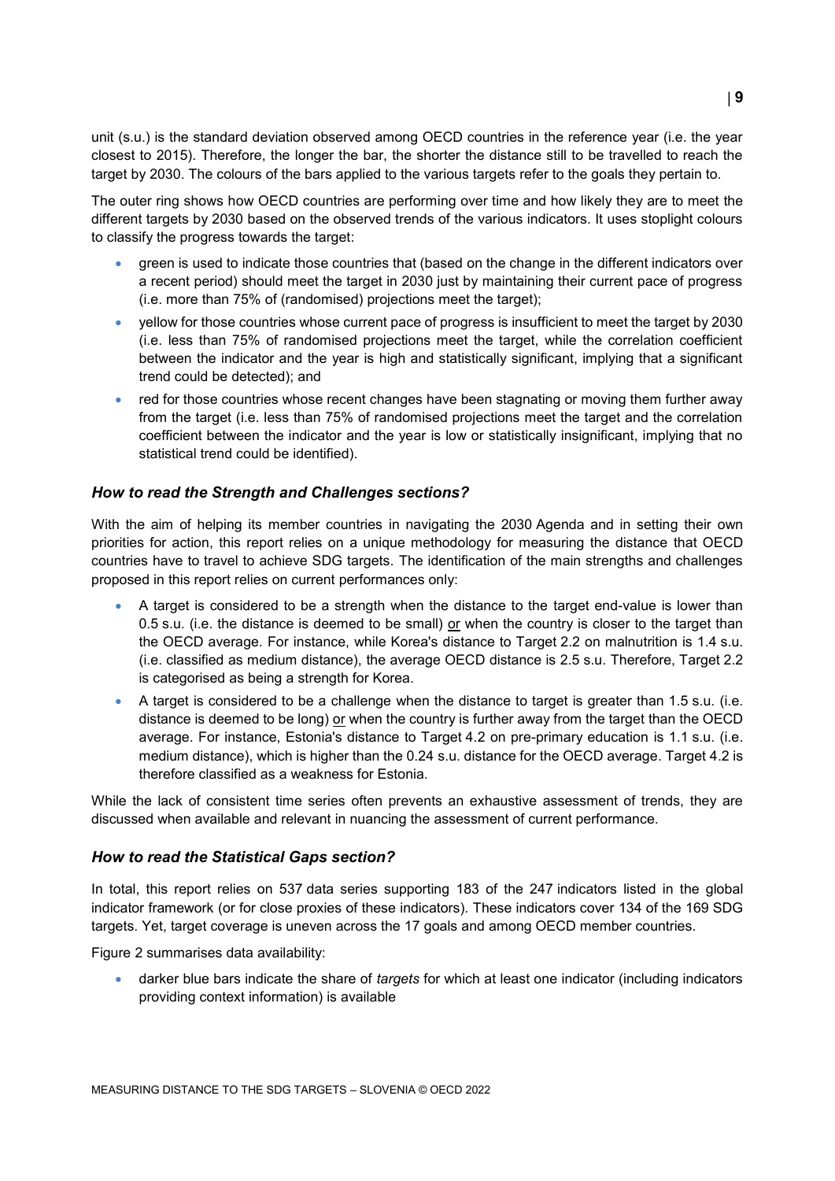unit (s.u.) is the standard deviation observed among OECD countries in the reference year (i.e. the year closest to 2015). Therefore, the longer the bar, the shorter the distance still to be travelled to reach the target by 2030. The colours of the bars applied to the various targets refer to the goals they pertain to.

The outer ring shows how OECD countries are performing over time and how likely they are to meet the different targets by 2030 based on the observed trends of the various indicators. It uses stoplight colours to classify the progress towards the target:

- green is used to indicate those countries that (based on the change in the different indicators over a recent period) should meet the target in 2030 just by maintaining their current pace of progress (i.e. more than 75% of (randomised) projections meet the target);
- yellow for those countries whose current pace of progress is insufficient to meet the target by 2030 (i.e. less than 75% of randomised projections meet the target, while the correlation coefficient between the indicator and the year is high and statistically significant, implying that a significant trend could be detected); and
- red for those countries whose recent changes have been stagnating or moving them further away from the target (i.e. less than 75% of randomised projections meet the target and the correlation coefficient between the indicator and the year is low or statistically insignificant, implying that no statistical trend could be identified).

### *How to read the Strength and Challenges sections?*

With the aim of helping its member countries in navigating the 2030 Agenda and in setting their own priorities for action, this report relies on a unique methodology for measuring the distance that OECD countries have to travel to achieve SDG targets. The identification of the main strengths and challenges proposed in this report relies on current performances only:

- A target is considered to be a strength when the distance to the target end-value is lower than 0.5 s.u. (i.e. the distance is deemed to be small) or when the country is closer to the target than the OECD average. For instance, while Korea's distance to Target 2.2 on malnutrition is 1.4 s.u. (i.e. classified as medium distance), the average OECD distance is 2.5 s.u. Therefore, Target 2.2 is categorised as being a strength for Korea.
- A target is considered to be a challenge when the distance to target is greater than 1.5 s.u. (i.e. distance is deemed to be long) or when the country is further away from the target than the OECD average. For instance, Estonia's distance to Target 4.2 on pre-primary education is 1.1 s.u. (i.e. medium distance), which is higher than the 0.24 s.u. distance for the OECD average. Target 4.2 is therefore classified as a weakness for Estonia.

While the lack of consistent time series often prevents an exhaustive assessment of trends, they are discussed when available and relevant in nuancing the assessment of current performance.

### *How to read the Statistical Gaps section?*

In total, this report relies on 537 data series supporting 183 of the 247 indicators listed in the global indicator framework (or for close proxies of these indicators). These indicators cover 134 of the 169 SDG targets. Yet, target coverage is uneven across the 17 goals and among OECD member countries.

[Figure](#page-2-0) 2 summarises data availability:

 darker blue bars indicate the share of *targets* for which at least one indicator (including indicators providing context information) is available